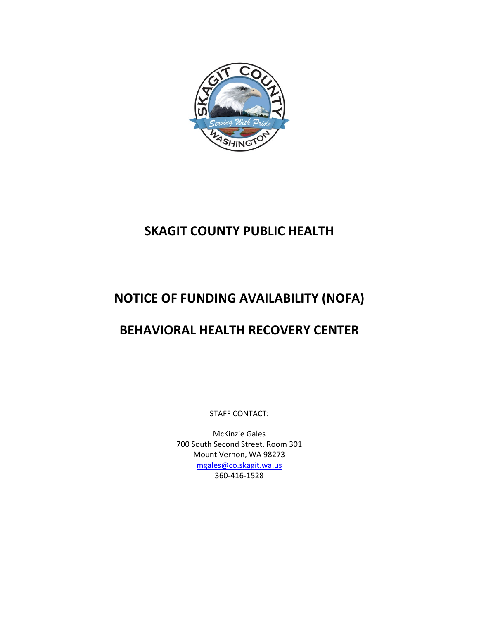

# **SKAGIT COUNTY PUBLIC HEALTH**

# **NOTICE OF FUNDING AVAILABILITY (NOFA)**

## **BEHAVIORAL HEALTH RECOVERY CENTER**

STAFF CONTACT:

McKinzie Gales 700 South Second Street, Room 301 Mount Vernon, WA 98273 [mgales@co.skagit.wa.us](mailto:mgales@co.skagit.wa.us) 360-416-1528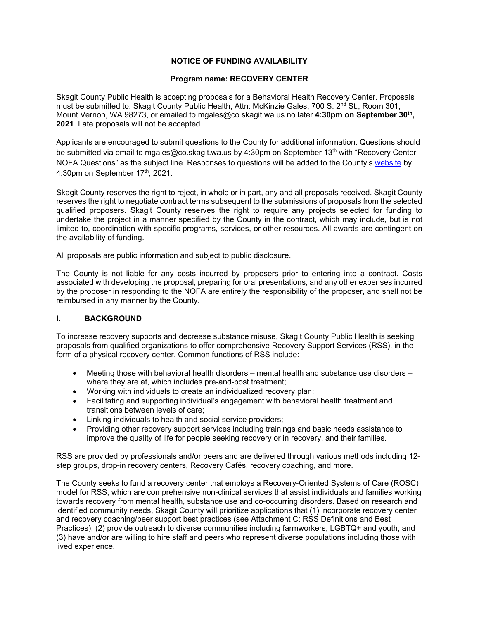#### **NOTICE OF FUNDING AVAILABILITY**

#### **Program name: RECOVERY CENTER**

Skagit County Public Health is accepting proposals for a Behavioral Health Recovery Center. Proposals must be submitted to: Skagit County Public Health, Attn: McKinzie Gales, 700 S. 2<sup>nd</sup> St., Room 301, Mount Vernon, WA 98273, or emailed to mgales@co.skagit.wa.us no later **4:30pm on September 30th, 2021**. Late proposals will not be accepted.

Applicants are encouraged to submit questions to the County for additional information. Questions should be submitted via email to mgales@co.skagit.wa.us by 4:30pm on September 13<sup>th</sup> with "Recovery Center NOFA Questions" as the subject line. Responses to questions will be added to the County's [website](https://www.skagitcounty.net/Departments/HumanServices/mh.htm) by 4:30pm on September  $17<sup>th</sup>$ , 2021.

Skagit County reserves the right to reject, in whole or in part, any and all proposals received. Skagit County reserves the right to negotiate contract terms subsequent to the submissions of proposals from the selected qualified proposers. Skagit County reserves the right to require any projects selected for funding to undertake the project in a manner specified by the County in the contract, which may include, but is not limited to, coordination with specific programs, services, or other resources. All awards are contingent on the availability of funding.

All proposals are public information and subject to public disclosure.

The County is not liable for any costs incurred by proposers prior to entering into a contract. Costs associated with developing the proposal, preparing for oral presentations, and any other expenses incurred by the proposer in responding to the NOFA are entirely the responsibility of the proposer, and shall not be reimbursed in any manner by the County.

#### **I. BACKGROUND**

To increase recovery supports and decrease substance misuse, Skagit County Public Health is seeking proposals from qualified organizations to offer comprehensive Recovery Support Services (RSS), in the form of a physical recovery center. Common functions of RSS include:

- Meeting those with behavioral health disorders mental health and substance use disorders where they are at, which includes pre-and-post treatment;
- Working with individuals to create an individualized recovery plan;
- Facilitating and supporting individual's engagement with behavioral health treatment and transitions between levels of care;
- Linking individuals to health and social service providers;
- Providing other recovery support services including trainings and basic needs assistance to improve the quality of life for people seeking recovery or in recovery, and their families.

RSS are provided by professionals and/or peers and are delivered through various methods including 12 step groups, drop-in recovery centers, Recovery Cafés, recovery coaching, and more.

The County seeks to fund a recovery center that employs a Recovery-Oriented Systems of Care (ROSC) model for RSS, which are comprehensive non-clinical services that assist individuals and families working towards recovery from mental health, substance use and co-occurring disorders. Based on research and identified community needs, Skagit County will prioritize applications that (1) incorporate recovery center and recovery coaching/peer support best practices (see Attachment C: RSS Definitions and Best Practices), (2) provide outreach to diverse communities including farmworkers, LGBTQ+ and youth, and (3) have and/or are willing to hire staff and peers who represent diverse populations including those with lived experience.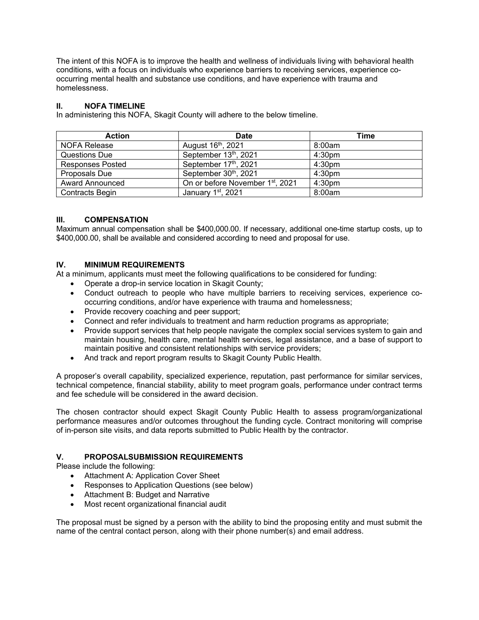The intent of this NOFA is to improve the health and wellness of individuals living with behavioral health conditions, with a focus on individuals who experience barriers to receiving services, experience cooccurring mental health and substance use conditions, and have experience with trauma and homelessness.

#### **II. NOFA TIMELINE**

In administering this NOFA, Skagit County will adhere to the below timeline.

| <b>Action</b>           | <b>Date</b>                                  | Time               |
|-------------------------|----------------------------------------------|--------------------|
| NOFA Release            | August 16 <sup>th</sup> , 2021               | 8:00am             |
| Questions Due           | September 13th, 2021                         | 4:30 <sub>pm</sub> |
| <b>Responses Posted</b> | September 17th, 2021                         | 4:30 <sub>pm</sub> |
| Proposals Due           | September 30th, 2021                         | 4:30 <sub>pm</sub> |
| <b>Award Announced</b>  | On or before November 1 <sup>st</sup> , 2021 | 4:30 <sub>pm</sub> |
| Contracts Begin         | January 1st, 2021                            | 8:00am             |

#### **III. COMPENSATION**

Maximum annual compensation shall be \$400,000.00. If necessary, additional one-time startup costs, up to \$400,000.00, shall be available and considered according to need and proposal for use.

#### **IV. MINIMUM REQUIREMENTS**

At a minimum, applicants must meet the following qualifications to be considered for funding:

- Operate a drop-in service location in Skagit County;
- Conduct outreach to people who have multiple barriers to receiving services, experience cooccurring conditions, and/or have experience with trauma and homelessness;
- Provide recovery coaching and peer support;
- Connect and refer individuals to treatment and harm reduction programs as appropriate;
- Provide support services that help people navigate the complex social services system to gain and maintain housing, health care, mental health services, legal assistance, and a base of support to maintain positive and consistent relationships with service providers;
- And track and report program results to Skagit County Public Health.

A proposer's overall capability, specialized experience, reputation, past performance for similar services, technical competence, financial stability, ability to meet program goals, performance under contract terms and fee schedule will be considered in the award decision.

The chosen contractor should expect Skagit County Public Health to assess program/organizational performance measures and/or outcomes throughout the funding cycle. Contract monitoring will comprise of in-person site visits, and data reports submitted to Public Health by the contractor.

### **V. PROPOSALSUBMISSION REQUIREMENTS**

Please include the following:

- Attachment A: Application Cover Sheet
- Responses to Application Questions (see below)
- Attachment B: Budget and Narrative
- Most recent organizational financial audit

The proposal must be signed by a person with the ability to bind the proposing entity and must submit the name of the central contact person, along with their phone number(s) and email address.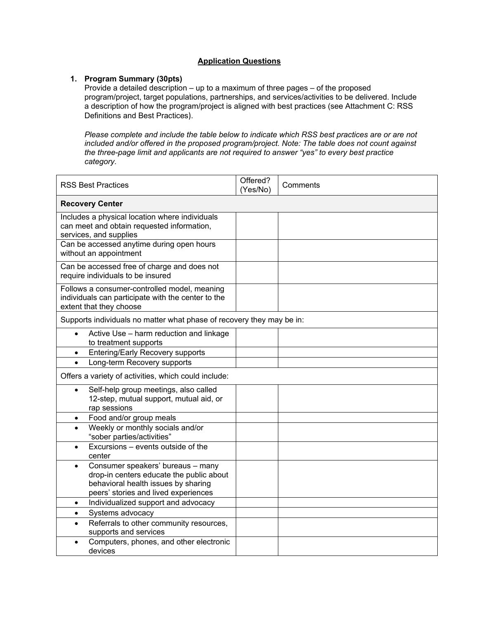#### **Application Questions**

#### **1. Program Summary (30pts)**

Provide a detailed description – up to a maximum of three pages – of the proposed program/project, target populations, partnerships, and services/activities to be delivered. Include a description of how the program/project is aligned with best practices (see Attachment C: RSS Definitions and Best Practices).

*Please complete and include the table below to indicate which RSS best practices are or are not included and/or offered in the proposed program/project. Note: The table does not count against the three-page limit and applicants are not required to answer "yes" to every best practice category.* 

| <b>RSS Best Practices</b>                                                                                                                                                 | Offered?<br>(Yes/No) | Comments |  |
|---------------------------------------------------------------------------------------------------------------------------------------------------------------------------|----------------------|----------|--|
| <b>Recovery Center</b>                                                                                                                                                    |                      |          |  |
| Includes a physical location where individuals<br>can meet and obtain requested information,<br>services, and supplies                                                    |                      |          |  |
| Can be accessed anytime during open hours<br>without an appointment                                                                                                       |                      |          |  |
| Can be accessed free of charge and does not<br>require individuals to be insured                                                                                          |                      |          |  |
| Follows a consumer-controlled model, meaning<br>individuals can participate with the center to the<br>extent that they choose                                             |                      |          |  |
| Supports individuals no matter what phase of recovery they may be in:                                                                                                     |                      |          |  |
| Active Use - harm reduction and linkage<br>$\bullet$<br>to treatment supports                                                                                             |                      |          |  |
| Entering/Early Recovery supports<br>$\bullet$                                                                                                                             |                      |          |  |
| Long-term Recovery supports<br>$\bullet$                                                                                                                                  |                      |          |  |
| Offers a variety of activities, which could include:                                                                                                                      |                      |          |  |
| Self-help group meetings, also called<br>$\bullet$<br>12-step, mutual support, mutual aid, or<br>rap sessions                                                             |                      |          |  |
| Food and/or group meals<br>$\bullet$                                                                                                                                      |                      |          |  |
| Weekly or monthly socials and/or<br>$\bullet$<br>"sober parties/activities"                                                                                               |                      |          |  |
| Excursions - events outside of the<br>$\bullet$<br>center                                                                                                                 |                      |          |  |
| Consumer speakers' bureaus - many<br>$\bullet$<br>drop-in centers educate the public about<br>behavioral health issues by sharing<br>peers' stories and lived experiences |                      |          |  |
| Individualized support and advocacy<br>$\bullet$                                                                                                                          |                      |          |  |
| Systems advocacy<br>$\bullet$                                                                                                                                             |                      |          |  |
| Referrals to other community resources,<br>$\bullet$<br>supports and services                                                                                             |                      |          |  |
| Computers, phones, and other electronic<br>devices                                                                                                                        |                      |          |  |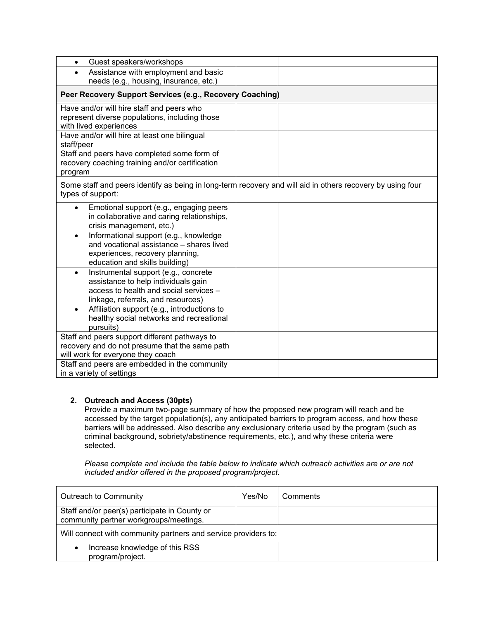| Guest speakers/workshops<br>$\bullet$                                                                                                                                    |  |
|--------------------------------------------------------------------------------------------------------------------------------------------------------------------------|--|
| Assistance with employment and basic                                                                                                                                     |  |
| needs (e.g., housing, insurance, etc.)                                                                                                                                   |  |
| Peer Recovery Support Services (e.g., Recovery Coaching)                                                                                                                 |  |
| Have and/or will hire staff and peers who<br>represent diverse populations, including those                                                                              |  |
| with lived experiences                                                                                                                                                   |  |
| Have and/or will hire at least one bilingual<br>staff/peer                                                                                                               |  |
| Staff and peers have completed some form of<br>recovery coaching training and/or certification<br>program                                                                |  |
| Some staff and peers identify as being in long-term recovery and will aid in others recovery by using four<br>types of support:                                          |  |
| Emotional support (e.g., engaging peers<br>in collaborative and caring relationships,<br>crisis management, etc.)                                                        |  |
| Informational support (e.g., knowledge<br>$\bullet$<br>and vocational assistance - shares lived<br>experiences, recovery planning,<br>education and skills building)     |  |
| Instrumental support (e.g., concrete<br>$\bullet$<br>assistance to help individuals gain<br>access to health and social services -<br>linkage, referrals, and resources) |  |
| Affiliation support (e.g., introductions to<br>$\bullet$<br>healthy social networks and recreational<br>pursuits)                                                        |  |
| Staff and peers support different pathways to<br>recovery and do not presume that the same path<br>will work for everyone they coach                                     |  |
| Staff and peers are embedded in the community<br>in a variety of settings                                                                                                |  |

## **2. Outreach and Access (30pts)**

Provide a maximum two-page summary of how the proposed new program will reach and be accessed by the target population(s), any anticipated barriers to program access, and how these barriers will be addressed. Also describe any exclusionary criteria used by the program (such as criminal background, sobriety/abstinence requirements, etc.), and why these criteria were selected.

*Please complete and include the table below to indicate which outreach activities are or are not included and/or offered in the proposed program/project.* 

| Outreach to Community                                                                   | Yes/No | Comments |  |
|-----------------------------------------------------------------------------------------|--------|----------|--|
| Staff and/or peer(s) participate in County or<br>community partner workgroups/meetings. |        |          |  |
| Will connect with community partners and service providers to:                          |        |          |  |
| Increase knowledge of this RSS<br>program/project.                                      |        |          |  |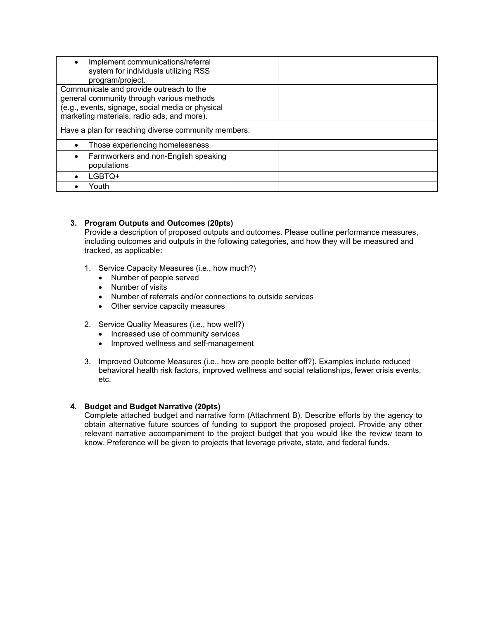| Implement communications/referral<br>system for individuals utilizing RSS<br>program/project.                                                                                          |  |
|----------------------------------------------------------------------------------------------------------------------------------------------------------------------------------------|--|
| Communicate and provide outreach to the<br>general community through various methods<br>(e.g., events, signage, social media or physical<br>marketing materials, radio ads, and more). |  |
| Have a plan for reaching diverse community members:                                                                                                                                    |  |
| Those experiencing homelessness                                                                                                                                                        |  |
| Farmworkers and non-English speaking<br>populations                                                                                                                                    |  |
| LGBTQ+                                                                                                                                                                                 |  |
| Youth                                                                                                                                                                                  |  |

### **3. Program Outputs and Outcomes (20pts)**

Provide a description of proposed outputs and outcomes. Please outline performance measures, including outcomes and outputs in the following categories, and how they will be measured and tracked, as applicable:

- 1. Service Capacity Measures (i.e., how much?)
	- Number of people served
	- Number of visits
	- Number of referrals and/or connections to outside services
	- Other service capacity measures
- 2. Service Quality Measures (i.e., how well?)
	- Increased use of community services
	- Improved wellness and self-management
- 3. Improved Outcome Measures (i.e., how are people better off?). Examples include reduced behavioral health risk factors, improved wellness and social relationships, fewer crisis events, etc.

#### **4. Budget and Budget Narrative (20pts)**

Complete attached budget and narrative form (Attachment B). Describe efforts by the agency to obtain alternative future sources of funding to support the proposed project. Provide any other relevant narrative accompaniment to the project budget that you would like the review team to know. Preference will be given to projects that leverage private, state, and federal funds.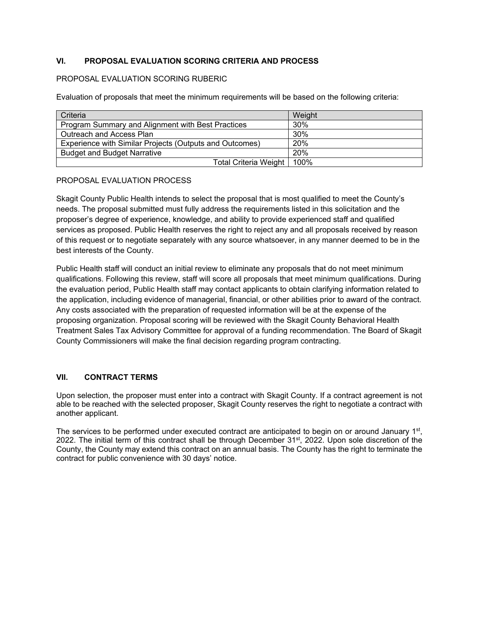## **VI. PROPOSAL EVALUATION SCORING CRITERIA AND PROCESS**

#### PROPOSAL EVALUATION SCORING RUBERIC

Evaluation of proposals that meet the minimum requirements will be based on the following criteria:

| Criteria                                                | Weight |
|---------------------------------------------------------|--------|
| Program Summary and Alignment with Best Practices       | $30\%$ |
| Outreach and Access Plan                                | 30%    |
| Experience with Similar Projects (Outputs and Outcomes) | 20%    |
| <b>Budget and Budget Narrative</b>                      | 20%    |
| Total Criteria Weight   100%                            |        |

### PROPOSAL EVALUATION PROCESS

Skagit County Public Health intends to select the proposal that is most qualified to meet the County's needs. The proposal submitted must fully address the requirements listed in this solicitation and the proposer's degree of experience, knowledge, and ability to provide experienced staff and qualified services as proposed. Public Health reserves the right to reject any and all proposals received by reason of this request or to negotiate separately with any source whatsoever, in any manner deemed to be in the best interests of the County.

Public Health staff will conduct an initial review to eliminate any proposals that do not meet minimum qualifications. Following this review, staff will score all proposals that meet minimum qualifications. During the evaluation period, Public Health staff may contact applicants to obtain clarifying information related to the application, including evidence of managerial, financial, or other abilities prior to award of the contract. Any costs associated with the preparation of requested information will be at the expense of the proposing organization. Proposal scoring will be reviewed with the Skagit County Behavioral Health Treatment Sales Tax Advisory Committee for approval of a funding recommendation. The Board of Skagit County Commissioners will make the final decision regarding program contracting.

## **VII. CONTRACT TERMS**

Upon selection, the proposer must enter into a contract with Skagit County. If a contract agreement is not able to be reached with the selected proposer, Skagit County reserves the right to negotiate a contract with another applicant.

The services to be performed under executed contract are anticipated to begin on or around January 1<sup>st</sup>, 2022. The initial term of this contract shall be through December 31<sup>st</sup>, 2022. Upon sole discretion of the County, the County may extend this contract on an annual basis. The County has the right to terminate the contract for public convenience with 30 days' notice.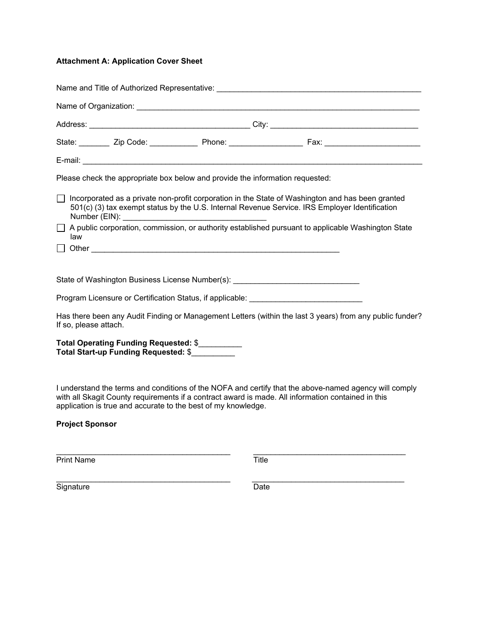## **Attachment A: Application Cover Sheet**

|                                                                                                                                                                                                                                      |  | Name and Title of Authorized Representative: [1] The Content of Content of Content of Content of Content of Co                                                                                       |  |
|--------------------------------------------------------------------------------------------------------------------------------------------------------------------------------------------------------------------------------------|--|------------------------------------------------------------------------------------------------------------------------------------------------------------------------------------------------------|--|
|                                                                                                                                                                                                                                      |  |                                                                                                                                                                                                      |  |
|                                                                                                                                                                                                                                      |  |                                                                                                                                                                                                      |  |
|                                                                                                                                                                                                                                      |  |                                                                                                                                                                                                      |  |
|                                                                                                                                                                                                                                      |  |                                                                                                                                                                                                      |  |
| Please check the appropriate box below and provide the information requested:                                                                                                                                                        |  |                                                                                                                                                                                                      |  |
|                                                                                                                                                                                                                                      |  | □ Incorporated as a private non-profit corporation in the State of Washington and has been granted<br>501(c) (3) tax exempt status by the U.S. Internal Revenue Service. IRS Employer Identification |  |
| law                                                                                                                                                                                                                                  |  | A public corporation, commission, or authority established pursuant to applicable Washington State                                                                                                   |  |
|                                                                                                                                                                                                                                      |  |                                                                                                                                                                                                      |  |
| State of Washington Business License Number(s): ________________________________                                                                                                                                                     |  |                                                                                                                                                                                                      |  |
| Program Licensure or Certification Status, if applicable: <b>Carl Address Control Control Control Control Control Control Control Control Control Control Control Control Control Control Control Control Control Control Contro</b> |  |                                                                                                                                                                                                      |  |
| If so, please attach.                                                                                                                                                                                                                |  | Has there been any Audit Finding or Management Letters (within the last 3 years) from any public funder?                                                                                             |  |
| Total Operating Funding Requested: \$<br>Total Start-up Funding Requested: \$                                                                                                                                                        |  |                                                                                                                                                                                                      |  |

I understand the terms and conditions of the NOFA and certify that the above-named agency will comply with all Skagit County requirements if a contract award is made. All information contained in this application is true and accurate to the best of my knowledge.

## **Project Sponsor**

\_\_\_\_\_\_\_\_\_\_\_\_\_\_\_\_\_\_\_\_\_\_\_\_\_\_\_\_\_\_\_\_\_\_\_\_\_\_\_\_ \_\_\_\_\_\_\_\_\_\_\_\_\_\_\_\_\_\_\_\_\_\_\_\_\_\_\_\_\_\_\_\_\_\_\_ Print Name Title

\_\_\_\_\_\_\_\_\_\_\_\_\_\_\_\_\_\_\_\_\_\_\_\_\_\_\_\_\_\_\_\_\_\_\_\_\_\_\_\_ \_\_\_\_\_\_\_\_\_\_\_\_\_\_\_\_\_\_\_\_\_\_\_\_\_\_\_\_\_\_\_\_\_\_\_ Signature Date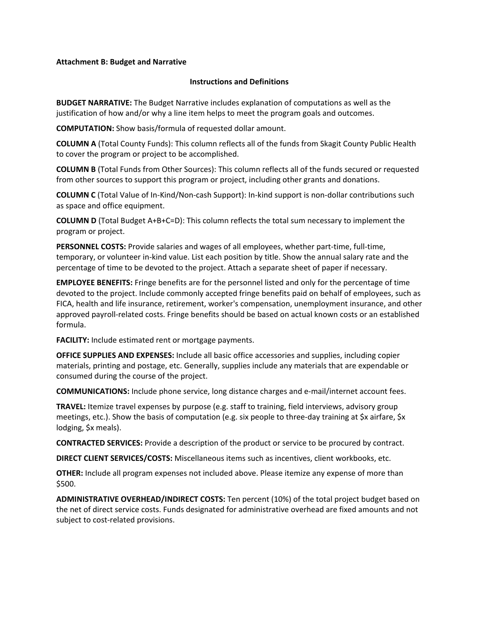#### **Attachment B: Budget and Narrative**

#### **Instructions and Definitions**

**BUDGET NARRATIVE:** The Budget Narrative includes explanation of computations as well as the justification of how and/or why a line item helps to meet the program goals and outcomes.

**COMPUTATION:** Show basis/formula of requested dollar amount.

**COLUMN A** (Total County Funds): This column reflects all of the funds from Skagit County Public Health to cover the program or project to be accomplished.

**COLUMN B** (Total Funds from Other Sources): This column reflects all of the funds secured or requested from other sources to support this program or project, including other grants and donations.

**COLUMN C** (Total Value of In-Kind/Non-cash Support): In-kind support is non-dollar contributions such as space and office equipment.

**COLUMN D** (Total Budget A+B+C=D): This column reflects the total sum necessary to implement the program or project.

**PERSONNEL COSTS:** Provide salaries and wages of all employees, whether part-time, full-time, temporary, or volunteer in-kind value. List each position by title. Show the annual salary rate and the percentage of time to be devoted to the project. Attach a separate sheet of paper if necessary.

**EMPLOYEE BENEFITS:** Fringe benefits are for the personnel listed and only for the percentage of time devoted to the project. Include commonly accepted fringe benefits paid on behalf of employees, such as FICA, health and life insurance, retirement, worker's compensation, unemployment insurance, and other approved payroll-related costs. Fringe benefits should be based on actual known costs or an established formula.

**FACILITY:** Include estimated rent or mortgage payments.

**OFFICE SUPPLIES AND EXPENSES:** Include all basic office accessories and supplies, including copier materials, printing and postage, etc. Generally, supplies include any materials that are expendable or consumed during the course of the project.

**COMMUNICATIONS:** Include phone service, long distance charges and e-mail/internet account fees.

**TRAVEL:** Itemize travel expenses by purpose (e.g. staff to training, field interviews, advisory group meetings, etc.). Show the basis of computation (e.g. six people to three-day training at \$x airfare, \$x lodging, \$x meals).

**CONTRACTED SERVICES:** Provide a description of the product or service to be procured by contract.

**DIRECT CLIENT SERVICES/COSTS:** Miscellaneous items such as incentives, client workbooks, etc.

**OTHER:** Include all program expenses not included above. Please itemize any expense of more than \$500.

**ADMINISTRATIVE OVERHEAD/INDIRECT COSTS:** Ten percent (10%) of the total project budget based on the net of direct service costs. Funds designated for administrative overhead are fixed amounts and not subject to cost-related provisions.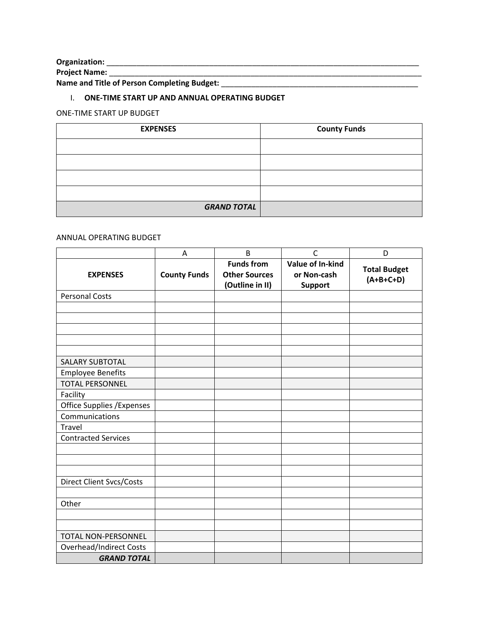**Organization:** \_\_\_\_\_\_\_\_\_\_\_\_\_\_\_\_\_\_\_\_\_\_\_\_\_\_\_\_\_\_\_\_\_\_\_\_\_\_\_\_\_\_\_\_\_\_\_\_\_\_\_\_\_\_\_\_\_\_\_\_\_\_\_\_\_\_\_\_\_\_\_\_\_

**Project Name:** \_\_\_\_\_\_\_\_\_\_\_\_\_\_\_\_\_\_\_\_\_\_\_\_\_\_\_\_\_\_\_\_\_\_\_\_\_\_\_\_\_\_\_\_\_\_\_\_\_\_\_\_\_\_\_\_\_\_\_\_\_\_\_\_\_\_\_\_\_\_\_\_\_

**Name and Title of Person Completing Budget:** \_\_\_\_\_\_\_\_\_\_\_\_\_\_\_\_\_\_\_\_\_\_\_\_\_\_\_\_\_\_\_\_\_\_\_\_\_\_\_\_\_\_\_\_\_\_

## I. **ONE-TIME START UP AND ANNUAL OPERATING BUDGET**

## ONE-TIME START UP BUDGET

| <b>EXPENSES</b>    | <b>County Funds</b> |
|--------------------|---------------------|
|                    |                     |
|                    |                     |
|                    |                     |
|                    |                     |
| <b>GRAND TOTAL</b> |                     |

## ANNUAL OPERATING BUDGET

|                                   | A                   | B                                         | $\mathsf{C}$                    | D                   |
|-----------------------------------|---------------------|-------------------------------------------|---------------------------------|---------------------|
| <b>EXPENSES</b>                   | <b>County Funds</b> | <b>Funds from</b><br><b>Other Sources</b> | Value of In-kind<br>or Non-cash | <b>Total Budget</b> |
|                                   |                     | (Outline in II)                           | Support                         | $(A+B+C+D)$         |
| <b>Personal Costs</b>             |                     |                                           |                                 |                     |
|                                   |                     |                                           |                                 |                     |
|                                   |                     |                                           |                                 |                     |
|                                   |                     |                                           |                                 |                     |
|                                   |                     |                                           |                                 |                     |
|                                   |                     |                                           |                                 |                     |
| <b>SALARY SUBTOTAL</b>            |                     |                                           |                                 |                     |
| <b>Employee Benefits</b>          |                     |                                           |                                 |                     |
| <b>TOTAL PERSONNEL</b>            |                     |                                           |                                 |                     |
| Facility                          |                     |                                           |                                 |                     |
| <b>Office Supplies / Expenses</b> |                     |                                           |                                 |                     |
| Communications                    |                     |                                           |                                 |                     |
| Travel                            |                     |                                           |                                 |                     |
| <b>Contracted Services</b>        |                     |                                           |                                 |                     |
|                                   |                     |                                           |                                 |                     |
|                                   |                     |                                           |                                 |                     |
|                                   |                     |                                           |                                 |                     |
| <b>Direct Client Svcs/Costs</b>   |                     |                                           |                                 |                     |
|                                   |                     |                                           |                                 |                     |
| Other                             |                     |                                           |                                 |                     |
|                                   |                     |                                           |                                 |                     |
|                                   |                     |                                           |                                 |                     |
| TOTAL NON-PERSONNEL               |                     |                                           |                                 |                     |
| <b>Overhead/Indirect Costs</b>    |                     |                                           |                                 |                     |
| <b>GRAND TOTAL</b>                |                     |                                           |                                 |                     |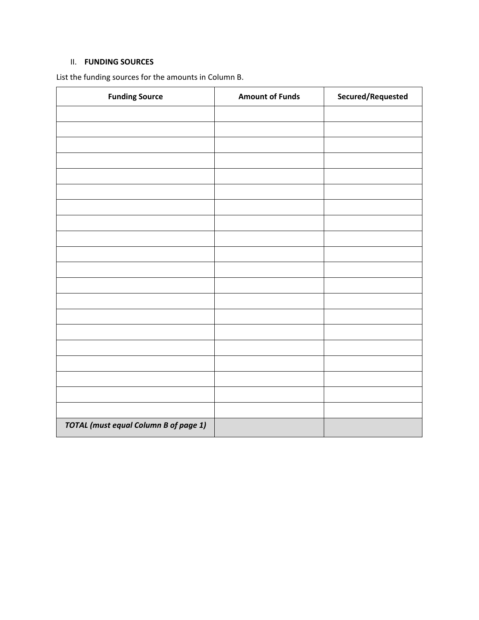## II. **FUNDING SOURCES**

List the funding sources for the amounts in Column B.

| <b>Funding Source</b>                        | <b>Amount of Funds</b> | Secured/Requested |
|----------------------------------------------|------------------------|-------------------|
|                                              |                        |                   |
|                                              |                        |                   |
|                                              |                        |                   |
|                                              |                        |                   |
|                                              |                        |                   |
|                                              |                        |                   |
|                                              |                        |                   |
|                                              |                        |                   |
|                                              |                        |                   |
|                                              |                        |                   |
|                                              |                        |                   |
|                                              |                        |                   |
|                                              |                        |                   |
|                                              |                        |                   |
|                                              |                        |                   |
|                                              |                        |                   |
|                                              |                        |                   |
|                                              |                        |                   |
|                                              |                        |                   |
|                                              |                        |                   |
| <b>TOTAL</b> (must equal Column B of page 1) |                        |                   |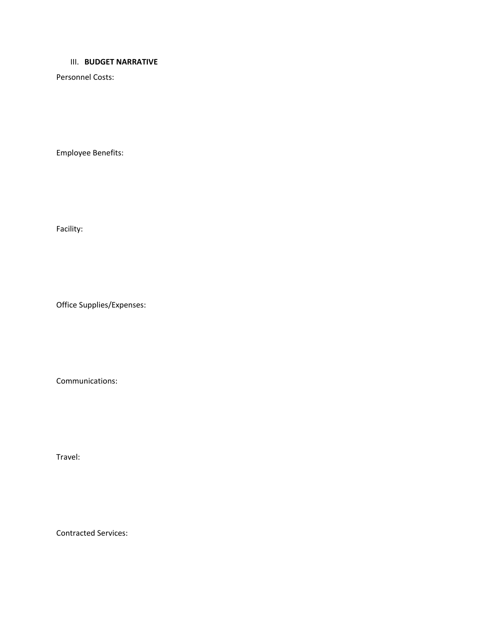#### III. **BUDGET NARRATIVE**

Personnel Costs:

Employee Benefits:

Facility:

Office Supplies/Expenses:

Communications:

Travel:

Contracted Services: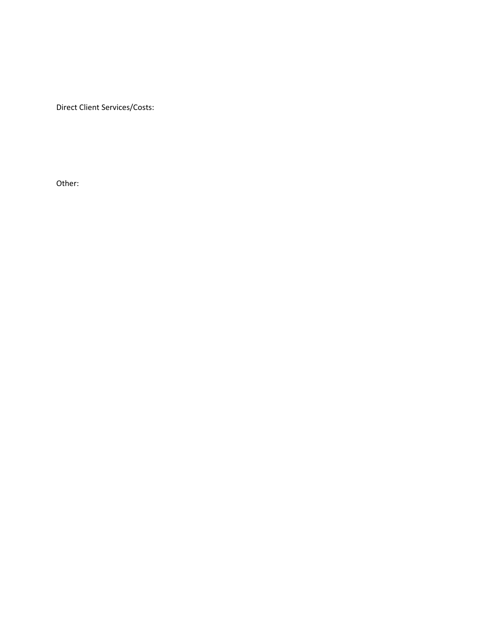Direct Client Services/Costs:

Other: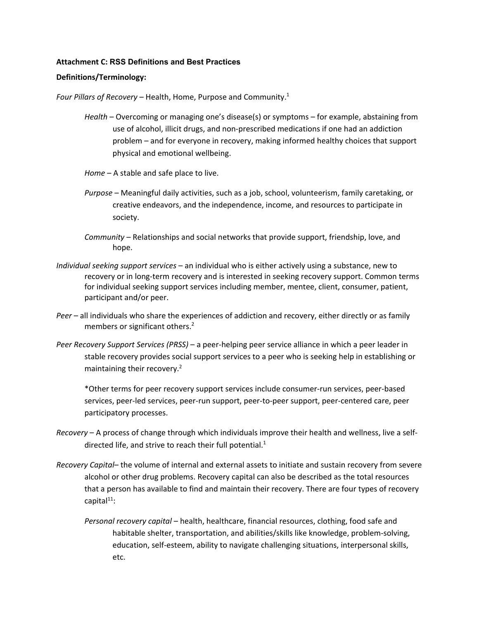#### **Attachment C: RSS Definitions and Best Practices**

#### **Definitions/Terminology:**

*Four Pillars of Recovery* – Health, Home, Purpose and Community.1

- *Health* Overcoming or managing one's disease(s) or symptoms for example, abstaining from use of alcohol, illicit drugs, and non-prescribed medications if one had an addiction problem – and for everyone in recovery, making informed healthy choices that support physical and emotional wellbeing.
- *Home*  A stable and safe place to live.
- *Purpose* Meaningful daily activities, such as a job, school, volunteerism, family caretaking, or creative endeavors, and the independence, income, and resources to participate in society.
- *Community* Relationships and social networks that provide support, friendship, love, and hope.
- *Individual seeking support services*  an individual who is either actively using a substance, new to recovery or in long-term recovery and is interested in seeking recovery support. Common terms for individual seeking support services including member, mentee, client, consumer, patient, participant and/or peer.
- *Peer* all individuals who share the experiences of addiction and recovery, either directly or as family members or significant others.<sup>2</sup>
- *Peer Recovery Support Services (PRSS)* a peer-helping peer service alliance in which a peer leader in stable recovery provides social support services to a peer who is seeking help in establishing or maintaining their recovery.<sup>2</sup>

\*Other terms for peer recovery support services include consumer-run services, peer-based services, peer-led services, peer-run support, peer-to-peer support, peer-centered care, peer participatory processes.

- *Recovery* A process of change through which individuals improve their health and wellness, live a selfdirected life, and strive to reach their full potential. $1$
- *Recovery Capital* the volume of internal and external assets to initiate and sustain recovery from severe alcohol or other drug problems. Recovery capital can also be described as the total resources that a person has available to find and maintain their recovery. There are four types of recovery capital<sup>11</sup>:
	- *Personal recovery capital* health, healthcare, financial resources, clothing, food safe and habitable shelter, transportation, and abilities/skills like knowledge, problem-solving, education, self-esteem, ability to navigate challenging situations, interpersonal skills, etc.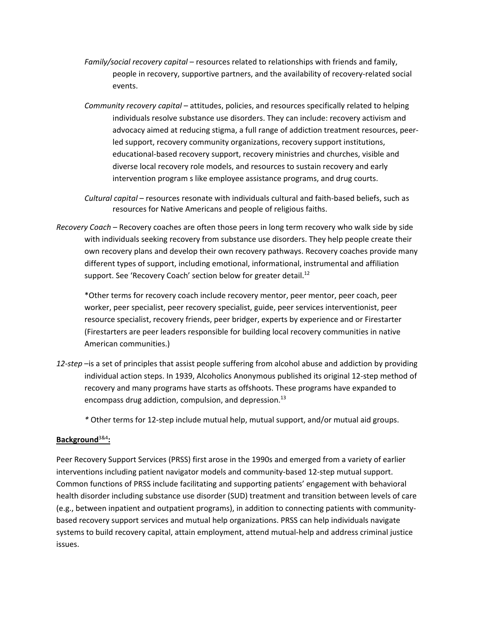- *Family/social recovery capital* resources related to relationships with friends and family, people in recovery, supportive partners, and the availability of recovery-related social events.
- *Community recovery capital* attitudes, policies, and resources specifically related to helping individuals resolve substance use disorders. They can include: recovery activism and advocacy aimed at reducing stigma, a full range of addiction treatment resources, peerled support, recovery community organizations, recovery support institutions, educational-based recovery support, recovery ministries and churches, visible and diverse local recovery role models, and resources to sustain recovery and early intervention program s like employee assistance programs, and drug courts.

*Cultural capital* – resources resonate with individuals cultural and faith-based beliefs, such as resources for Native Americans and people of religious faiths.

*Recovery Coach* – Recovery coaches are often those peers in long term recovery who walk side by side with individuals seeking recovery from substance use disorders. They help people create their own recovery plans and develop their own recovery pathways. Recovery coaches provide many different types of support, including emotional, informational, instrumental and affiliation support. See 'Recovery Coach' section below for greater detail.<sup>12</sup>

\*Other terms for recovery coach include recovery mentor, peer mentor, peer coach, peer worker, peer specialist, peer recovery specialist, guide, peer services interventionist, peer resource specialist, recovery friends, peer bridger, experts by experience and or Firestarter (Firestarters are peer leaders responsible for building local recovery communities in native American communities.)

*12-step* –is a set of principles that assist people suffering from alcohol abuse and addiction by providing individual action steps. In 1939, Alcoholics Anonymous published its original 12-step method of recovery and many programs have starts as offshoots. These programs have expanded to encompass drug addiction, compulsion, and depression.<sup>13</sup>

*\** Other terms for 12-step include mutual help, mutual support, and/or mutual aid groups.

## **Background**3&4**:**

Peer Recovery Support Services (PRSS) first arose in the 1990s and emerged from a variety of earlier interventions including patient navigator models and community-based 12-step mutual support. Common functions of PRSS include facilitating and supporting patients' engagement with behavioral health disorder including substance use disorder (SUD) treatment and transition between levels of care (e.g., between inpatient and outpatient programs), in addition to connecting patients with communitybased recovery support services and mutual help organizations. PRSS can help individuals navigate systems to build recovery capital, attain employment, attend mutual-help and address criminal justice issues.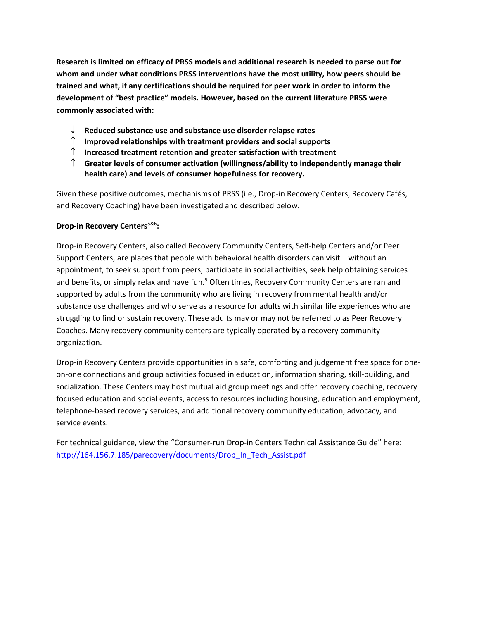**Research is limited on efficacy of PRSS models and additional research is needed to parse out for whom and under what conditions PRSS interventions have the most utility, how peers should be trained and what, if any certifications should be required for peer work in order to inform the development of "best practice" models. However, based on the current literature PRSS were commonly associated with:**

- ↓ **Reduced substance use and substance use disorder relapse rates**
- ↑ **Improved relationships with treatment providers and social supports**
- ↑ **Increased treatment retention and greater satisfaction with treatment**
- ↑ **Greater levels of consumer activation (willingness/ability to independently manage their health care) and levels of consumer hopefulness for recovery.**

Given these positive outcomes, mechanisms of PRSS (i.e., Drop-in Recovery Centers, Recovery Cafés, and Recovery Coaching) have been investigated and described below.

## **Drop-in Recovery Centers**5&6**:**

Drop-in Recovery Centers, also called Recovery Community Centers, Self-help Centers and/or Peer Support Centers, are places that people with behavioral health disorders can visit – without an appointment, to seek support from peers, participate in social activities, seek help obtaining services and benefits, or simply relax and have fun.<sup>5</sup> Often times, Recovery Community Centers are ran and supported by adults from the community who are living in recovery from mental health and/or substance use challenges and who serve as a resource for adults with similar life experiences who are struggling to find or sustain recovery. These adults may or may not be referred to as Peer Recovery Coaches. Many recovery community centers are typically operated by a recovery community organization.

Drop-in Recovery Centers provide opportunities in a safe, comforting and judgement free space for oneon-one connections and group activities focused in education, information sharing, skill-building, and socialization. These Centers may host mutual aid group meetings and offer recovery coaching, recovery focused education and social events, access to resources including housing, education and employment, telephone-based recovery services, and additional recovery community education, advocacy, and service events.

For technical guidance, view the "Consumer-run Drop-in Centers Technical Assistance Guide" here: [http://164.156.7.185/parecovery/documents/Drop\\_In\\_Tech\\_Assist.pdf](http://164.156.7.185/parecovery/documents/Drop_In_Tech_Assist.pdf)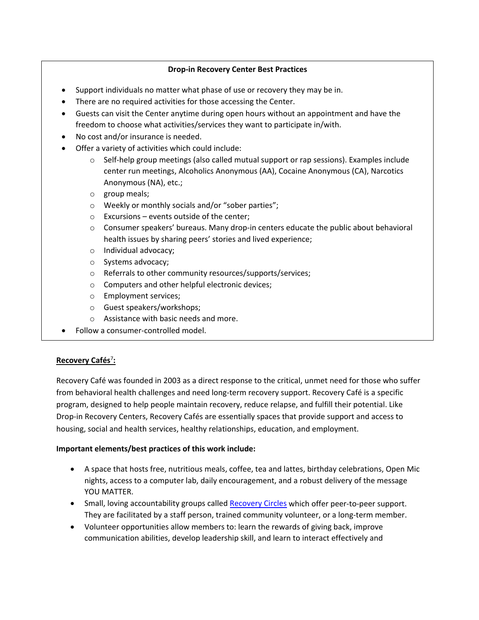## **Drop-in Recovery Center Best Practices**

- Support individuals no matter what phase of use or recovery they may be in.
- There are no required activities for those accessing the Center.
- Guests can visit the Center anytime during open hours without an appointment and have the freedom to choose what activities/services they want to participate in/with.
- No cost and/or insurance is needed.
- Offer a variety of activities which could include:
	- $\circ$  Self-help group meetings (also called mutual support or rap sessions). Examples include center run meetings, Alcoholics Anonymous (AA), Cocaine Anonymous (CA), Narcotics Anonymous (NA), etc.;
	- o group meals;
	- o Weekly or monthly socials and/or "sober parties";
	- o Excursions events outside of the center;
	- o Consumer speakers' bureaus. Many drop-in centers educate the public about behavioral health issues by sharing peers' stories and lived experience;
	- o Individual advocacy;
	- o Systems advocacy;
	- o Referrals to other community resources/supports/services;
	- o Computers and other helpful electronic devices;
	- o Employment services;
	- o Guest speakers/workshops;
	- o Assistance with basic needs and more.
- Follow a consumer-controlled model.

## **Recovery Cafés**<sup>7</sup> **:**

Recovery Café was founded in 2003 as a direct response to the critical, unmet need for those who suffer from behavioral health challenges and need long-term recovery support. Recovery Café is a specific program, designed to help people maintain recovery, reduce relapse, and fulfill their potential. Like Drop-in Recovery Centers, Recovery Cafés are essentially spaces that provide support and access to housing, social and health services, healthy relationships, education, and employment.

### **Important elements/best practices of this work include:**

- A space that hosts free, nutritious meals, coffee, tea and lattes, birthday celebrations, Open Mic nights, access to a computer lab, daily encouragement, and a robust delivery of the message YOU MATTER.
- Small, loving accountability groups called [Recovery Circles](https://recoverycafe.org/get-recovery/recovery-circles/) which offer peer-to-peer support. They are facilitated by a staff person, trained community volunteer, or a long-term member.
- Volunteer opportunities allow members to: learn the rewards of giving back, improve communication abilities, develop leadership skill, and learn to interact effectively and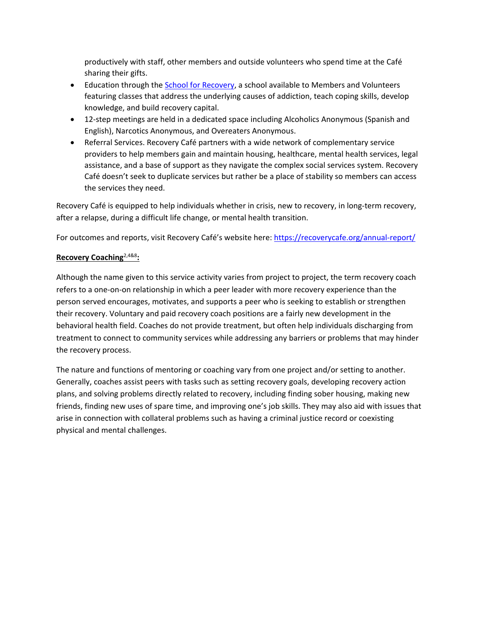productively with staff, other members and outside volunteers who spend time at the Café sharing their gifts.

- Education through the [School for Recovery,](https://recoverycafe.org/get-recovery/school-for-recovery/) a school available to Members and Volunteers featuring classes that address the underlying causes of addiction, teach coping skills, develop knowledge, and build recovery capital.
- 12-step meetings are held in a dedicated space including Alcoholics Anonymous (Spanish and English), Narcotics Anonymous, and Overeaters Anonymous.
- Referral Services. Recovery Café partners with a wide network of complementary service providers to help members gain and maintain housing, healthcare, mental health services, legal assistance, and a base of support as they navigate the complex social services system. Recovery Café doesn't seek to duplicate services but rather be a place of stability so members can access the services they need.

Recovery Café is equipped to help individuals whether in crisis, new to recovery, in long-term recovery, after a relapse, during a difficult life change, or mental health transition.

For outcomes and reports, visit Recovery Café's website here:<https://recoverycafe.org/annual-report/>

## **Recovery Coaching**2,4&8**:**

Although the name given to this service activity varies from project to project, the term recovery coach refers to a one-on-on relationship in which a peer leader with more recovery experience than the person served encourages, motivates, and supports a peer who is seeking to establish or strengthen their recovery. Voluntary and paid recovery coach positions are a fairly new development in the behavioral health field. Coaches do not provide treatment, but often help individuals discharging from treatment to connect to community services while addressing any barriers or problems that may hinder the recovery process.

The nature and functions of mentoring or coaching vary from one project and/or setting to another. Generally, coaches assist peers with tasks such as setting recovery goals, developing recovery action plans, and solving problems directly related to recovery, including finding sober housing, making new friends, finding new uses of spare time, and improving one's job skills. They may also aid with issues that arise in connection with collateral problems such as having a criminal justice record or coexisting physical and mental challenges.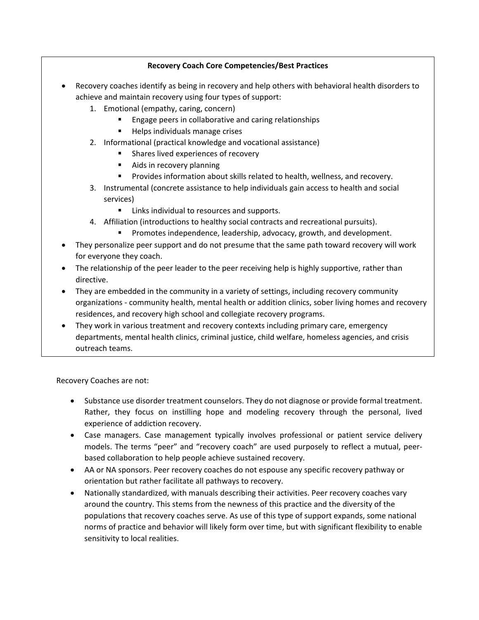## **Recovery Coach Core Competencies/Best Practices**

- Recovery coaches identify as being in recovery and help others with behavioral health disorders to achieve and maintain recovery using four types of support:
	- 1. Emotional (empathy, caring, concern)
		- Engage peers in collaborative and caring relationships
		- **Helps individuals manage crises**
	- 2. Informational (practical knowledge and vocational assistance)
		- **Shares lived experiences of recovery**
		- **Aids in recovery planning**
		- **Provides information about skills related to health, wellness, and recovery.**
	- 3. Instrumental (concrete assistance to help individuals gain access to health and social services)
		- Links individual to resources and supports.
	- 4. Affiliation (introductions to healthy social contracts and recreational pursuits).
		- **Promotes independence, leadership, advocacy, growth, and development.**
- They personalize peer support and do not presume that the same path toward recovery will work for everyone they coach.
- The relationship of the peer leader to the peer receiving help is highly supportive, rather than directive.
- They are embedded in the community in a variety of settings, including recovery community organizations - community health, mental health or addition clinics, sober living homes and recovery residences, and recovery high school and collegiate recovery programs.
- They work in various treatment and recovery contexts including primary care, emergency departments, mental health clinics, criminal justice, child welfare, homeless agencies, and crisis outreach teams.

Recovery Coaches are not:

- Substance use disorder treatment counselors. They do not diagnose or provide formal treatment. Rather, they focus on instilling hope and modeling recovery through the personal, lived experience of addiction recovery.
- Case managers. Case management typically involves professional or patient service delivery models. The terms "peer" and "recovery coach" are used purposely to reflect a mutual, peerbased collaboration to help people achieve sustained recovery.
- AA or NA sponsors. Peer recovery coaches do not espouse any specific recovery pathway or orientation but rather facilitate all pathways to recovery.
- Nationally standardized, with manuals describing their activities. Peer recovery coaches vary around the country. This stems from the newness of this practice and the diversity of the populations that recovery coaches serve. As use of this type of support expands, some national norms of practice and behavior will likely form over time, but with significant flexibility to enable sensitivity to local realities.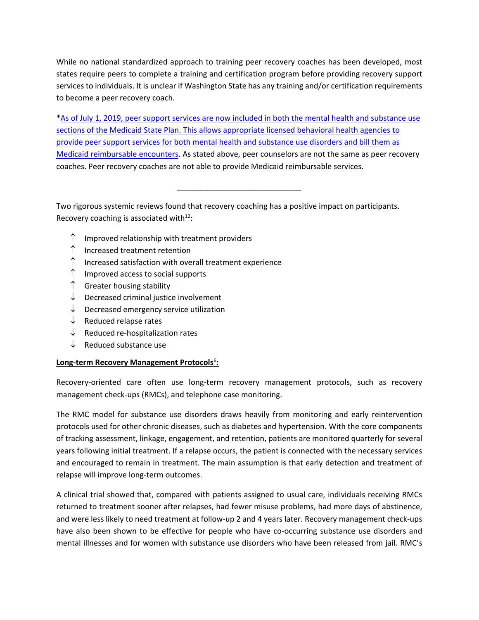While no national standardized approach to training peer recovery coaches has been developed, most states require peers to complete a training and certification program before providing recovery support services to individuals. It is unclear if Washington State has any training and/or certification requirements to become a peer recovery coach.

[\\*As of July 1, 2019, peer support services are now included in both the mental health and substance use](https://www.hca.wa.gov/billers-providers-partners/behavioral-health-recovery/peer-support)  [sections of the Medicaid State Plan. This allows appropriate licensed behavioral health agencies to](https://www.hca.wa.gov/billers-providers-partners/behavioral-health-recovery/peer-support)  [provide peer support services for both mental health and substance use disorders and bill them as](https://www.hca.wa.gov/billers-providers-partners/behavioral-health-recovery/peer-support)  [Medicaid reimbursable encounters.](https://www.hca.wa.gov/billers-providers-partners/behavioral-health-recovery/peer-support) As stated above, peer counselors are not the same as peer recovery coaches. Peer recovery coaches are not able to provide Medicaid reimbursable services.

\_\_\_\_\_\_\_\_\_\_\_\_\_\_\_\_\_\_\_\_\_\_\_\_\_\_\_\_\_

Two rigorous systemic reviews found that recovery coaching has a positive impact on participants. Recovery coaching is associated with $12$ :

- $\uparrow$  Improved relationship with treatment providers
- ↑ Increased treatment retention
- ↑ Increased satisfaction with overall treatment experience
- $\uparrow$  Improved access to social supports
- ↑ Greater housing stability
- ↓ Decreased criminal justice involvement
- $\downarrow$  Decreased emergency service utilization
- $\downarrow$  Reduced relapse rates
- $\downarrow$  Reduced re-hospitalization rates
- ↓ Reduced substance use

## **Long-term Recovery Management Protocols**<sup>6</sup>:

Recovery-oriented care often use long-term recovery management protocols, such as recovery management check-ups (RMCs), and telephone case monitoring.

The RMC model for substance use disorders draws heavily from monitoring and early reintervention protocols used for other chronic diseases, such as diabetes and hypertension. With the core components of tracking assessment, linkage, engagement, and retention, patients are monitored quarterly for several years following initial treatment. If a relapse occurs, the patient is connected with the necessary services and encouraged to remain in treatment. The main assumption is that early detection and treatment of relapse will improve long-term outcomes.

A clinical trial showed that, compared with patients assigned to usual care, individuals receiving RMCs returned to treatment sooner after relapses, had fewer misuse problems, had more days of abstinence, and were less likely to need treatment at follow-up 2 and 4 years later. Recovery management check-ups have also been shown to be effective for people who have co-occurring substance use disorders and mental illnesses and for women with substance use disorders who have been released from jail. RMC's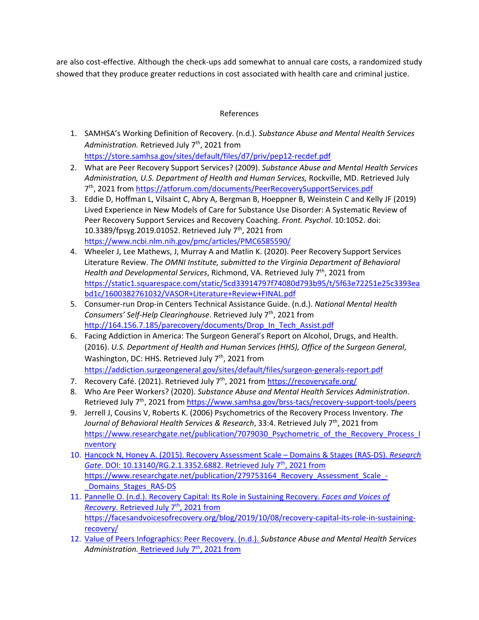are also cost-effective. Although the check-ups add somewhat to annual care costs, a randomized study showed that they produce greater reductions in cost associated with health care and criminal justice.

## References

- 1. SAMHSA's Working Definition of Recovery. (n.d.). *Substance Abuse and Mental Health Services*  Administration. Retrieved July 7<sup>th</sup>, 2021 from <https://store.samhsa.gov/sites/default/files/d7/priv/pep12-recdef.pdf>
- 2. What are Peer Recovery Support Services? (2009). *Substance Abuse and Mental Health Services Administration, U.S. Department of Health and Human Services,* Rockville, MD. Retrieved July 7th, 2021 from<https://atforum.com/documents/PeerRecoverySupportServices.pdf>
- 3. Eddie D, Hoffman L, Vilsaint C, Abry A, Bergman B, Hoeppner B, Weinstein C and Kelly JF (2019) Lived Experience in New Models of Care for Substance Use Disorder: A Systematic Review of Peer Recovery Support Services and Recovery Coaching. *Front. Psychol*. 10:1052. doi: 10.3389/fpsyg.2019.01052. Retrieved July 7<sup>th</sup>, 2021 from <https://www.ncbi.nlm.nih.gov/pmc/articles/PMC6585590/>
- 4. Wheeler J, Lee Mathews, J, Murray A and Matlin K. (2020). Peer Recovery Support Services Literature Review. *The OMNI Institute, submitted to the Virginia Department of Behavioral Health and Developmental Services*, Richmond, VA. Retrieved July 7<sup>th</sup>, 2021 from [https://static1.squarespace.com/static/5cd33914797f74080d793b95/t/5f63e72251e25c3393ea](https://static1.squarespace.com/static/5cd33914797f74080d793b95/t/5f63e72251e25c3393eabd1c/1600382761032/VASOR+Literature+Review+FINAL.pdf) [bd1c/1600382761032/VASOR+Literature+Review+FINAL.pdf](https://static1.squarespace.com/static/5cd33914797f74080d793b95/t/5f63e72251e25c3393eabd1c/1600382761032/VASOR+Literature+Review+FINAL.pdf)
- 5. Consumer-run Drop-in Centers Technical Assistance Guide. (n.d.). *National Mental Health Consumers' Self-Help Clearinghouse*. Retrieved July 7th, 2021 from [http://164.156.7.185/parecovery/documents/Drop\\_In\\_Tech\\_Assist.pdf](http://164.156.7.185/parecovery/documents/Drop_In_Tech_Assist.pdf)
- 6. Facing Addiction in America: The Surgeon General's Report on Alcohol, Drugs, and Health. (2016). *U.S. Department of Health and Human Services (HHS), Office of the Surgeon General*, Washington, DC: HHS. Retrieved July 7<sup>th</sup>, 2021 from <https://addiction.surgeongeneral.gov/sites/default/files/surgeon-generals-report.pdf>
- 7. Recovery Café. (2021). Retrieved July 7<sup>th</sup>, 2021 from<https://recoverycafe.org/>
- 8. Who Are Peer Workers? (2020). *Substance Abuse and Mental Health Services Administration*. Retrieved July 7<sup>th</sup>, 2021 from<https://www.samhsa.gov/brss-tacs/recovery-support-tools/peers>
- 9. Jerrell J, Cousins V, Roberts K. (2006) Psychometrics of the Recovery Process Inventory. *The*  Journal of Behavioral Health Services & Research, 33:4. Retrieved July 7<sup>th</sup>, 2021 from [https://www.researchgate.net/publication/7079030\\_Psychometric\\_of\\_the\\_Recovery\\_Process\\_I](https://www.researchgate.net/publication/7079030_Psychometric_of_the_Recovery_Process_Inventory) [nventory](https://www.researchgate.net/publication/7079030_Psychometric_of_the_Recovery_Process_Inventory)
- 10. Hancock N, Honey A. (2015). Recovery Assessment Scale Domains & Stages (RAS-DS). *Research Gate*. DOI: 10.13140/RG.2.1.3352.6882. Retrieved July 7th, 2021 from [https://www.researchgate.net/publication/279753164\\_Recovery\\_Assessment\\_Scale\\_-](https://www.researchgate.net/publication/279753164_Recovery_Assessment_Scale_-_Domains_Stages_RAS-DS) [\\_Domains\\_Stages\\_RAS-DS](https://www.researchgate.net/publication/279753164_Recovery_Assessment_Scale_-_Domains_Stages_RAS-DS)
- 11. Pannelle O. (n.d.). Recovery Capital: Its Role in Sustaining Recovery. *Faces and Voices of Recovery*. Retrieved July 7<sup>th</sup>, 2021 from [https://facesandvoicesofrecovery.org/blog/2019/10/08/recovery-capital-its-role-in-sustaining](https://facesandvoicesofrecovery.org/blog/2019/10/08/recovery-capital-its-role-in-sustaining-recovery/)[recovery/](https://facesandvoicesofrecovery.org/blog/2019/10/08/recovery-capital-its-role-in-sustaining-recovery/)
- 12. Value of Peers Infographics: Peer Recovery. (n.d.). *Substance Abuse and Mental Health Services*  Administration. Retrieved July 7<sup>th</sup>, 2021 from